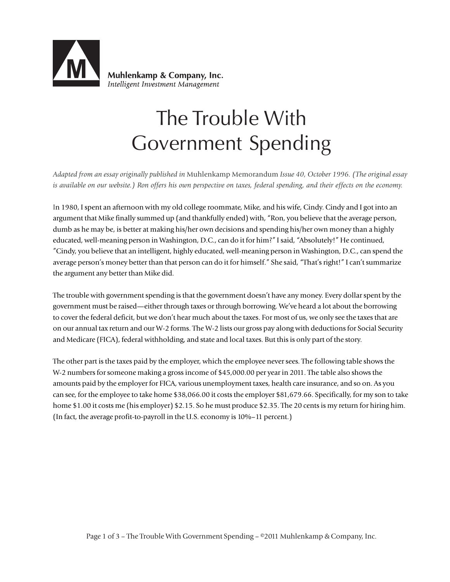

Muhlenkamp & Company, Inc. Intelligent Investment Management

## The Trouble With Government Spending

*Adapted from an essay originally published in* Muhlenkamp Memorandum *Issue 40, October 1996. (The original essay is available on our website.) Ron offers his own perspective on taxes, federal spending, and their effects on the economy.*

In 1980, I spent an afternoon with my old college roommate, Mike, and his wife, Cindy. Cindy and I got into an argument that Mike finally summed up (and thankfully ended) with, "Ron, you believe that the average person, dumb as he may be, is better at making his/her own decisions and spending his/her own money than a highly educated, well-meaning person in Washington, D.C., can do it for him?" I said, "Absolutely!" He continued, "Cindy, you believe that an intelligent, highly educated, well-meaning person in Washington, D.C., can spend the average person's money better than that person can do it for himself." She said, "That's right!" I can't summarize the argument any better than Mike did.

The trouble with government spending is that the government doesn't have any money. Every dollar spent by the government must be raised—either through taxes or through borrowing. We've heard a lot about the borrowing to cover the federal deficit, but we don't hear much about the taxes. For most of us, we only see the taxes that are on our annual tax return and our W-2 forms. The W-2 lists our gross pay along with deductions for Social Security and Medicare (FICA), federal withholding, and state and local taxes. But this is only part of the story.

The other part is the taxes paid by the employer, which the employee never sees. The following table shows the W-2 numbers for someone making a gross income of \$45,000.00 per year in 2011. The table also shows the amounts paid by the employer for FICA, various unemployment taxes, health care insurance, and so on. As you can see, for the employee to take home \$38,066.00 it costs the employer \$81,679.66. Specifically, for my son to take home \$1.00 it costs me (his employer) \$2.15. So he must produce \$2.35. The 20 cents is my return for hiring him. (In fact, the average profit-to-payroll in the U.S. economy is 10%–11 percent.)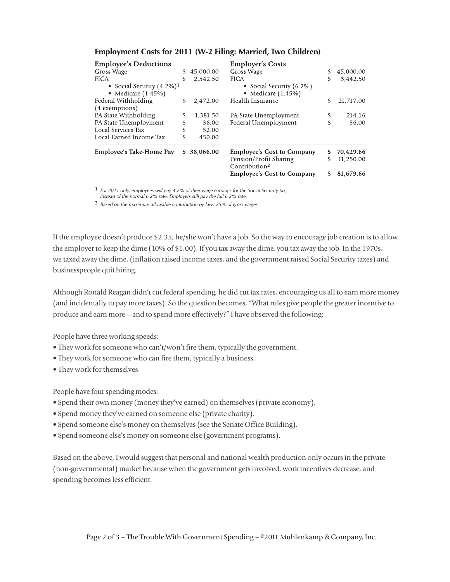| <b>Employee's Deductions</b><br>Gross Wage<br><b>FICA</b><br>• Social Security $(4.2\%)$ <sup>1</sup><br>• Medicare $(1.45\%)$ | \$<br>S              | 45,000.00<br>2,542.50                | <b>Employer's Costs</b><br>Gross Wage<br><b>FICA</b><br>• Social Security (6.2%)<br>• Medicare $(1.45\%)$                     | \$           | 45,000.00<br>3,442.50               |
|--------------------------------------------------------------------------------------------------------------------------------|----------------------|--------------------------------------|-------------------------------------------------------------------------------------------------------------------------------|--------------|-------------------------------------|
| Federal Withholding                                                                                                            | \$                   | 2.472.00                             | Health Insurance                                                                                                              |              | 21,717.00                           |
| (4 exemptions)<br>PA State Withholding<br>PA State Unemployment<br>Local Services Tax<br>Local Earned Income Tax               | \$<br>\$<br>\$<br>\$ | 1,381.50<br>36.00<br>52.00<br>450.00 | PA State Unemployment<br>Federal Unemployment                                                                                 | \$<br>\$     | 214.16<br>56.00                     |
| Employee's Take-Home Pay                                                                                                       | S                    | 38,066.00                            | <b>Employee's Cost to Company</b><br>Pension/Profit Sharing<br>Contribution <sup>2</sup><br><b>Employee's Cost to Company</b> | S<br>\$<br>S | 70,429.66<br>11,250.00<br>81,679.66 |

## **Employment Costs for 2011 (W-2 Filing: Married, Two Children)**

 $1$  For 2011 only, employees will pay 4.2% of their wage earnings for the Social Security tax,

instead of the normal 6.2% rate. Employers still pay the full 6.2% rate.

<sup>2</sup> Based on the maximum allowable contribution by law: 25% of gross wages.

If the employee doesn't produce \$2.35, he/she won't have a job. So the way to encourage job creation is to allow the employer to keep the dime (10% of \$1.00). If you tax away the dime, you tax away the job. In the 1970s, we taxed away the dime, (inflation raised income taxes, and the government raised Social Security taxes) and businesspeople quit hiring.

Although Ronald Reagan didn't cut federal spending, he did cut tax rates, encouraging us all to earn more money (and incidentally to pay more taxes). So the question becomes, "What rules give people the greater incentive to produce and earn more—and to spend more effectively?" I have observed the following:

People have three working speeds:

- They work for someone who can't/won't fire them, typically the government.
- They work for someone who can fire them, typically a business.
- They work for themselves.

People have four spending modes:

- Spend their own money (money they've earned) on themselves (private economy).
- Spend money they've earned on someone else (private charity).
- Spend someone else's money on themselves (see the Senate Office Building).
- Spend someone else's money on someone else (government programs).

Based on the above, I would suggest that personal and national wealth production only occurs in the private (non-governmental) market because when the government gets involved, work incentives decrease, and spending becomes less efficient.